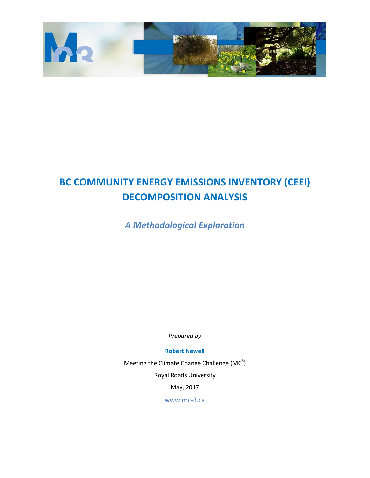

# **BC COMMUNITY ENERGY EMISSIONS INVENTORY (CEEI) DECOMPOSITION ANALYSIS**

*A Methodological Exploration*

*Prepared by*

**Robert Newell**

Meeting the Climate Change Challenge (MC<sup>3</sup>) Royal Roads University

May, 2017

[www.mc-3.ca](http://www.mc-3.ca/)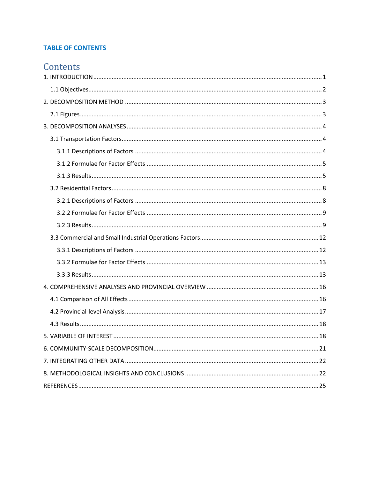# **TABLE OF CONTENTS**

# Contents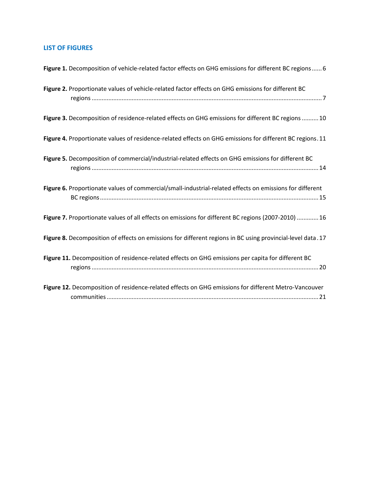# **LIST OF FIGURES**

| Figure 1. Decomposition of vehicle-related factor effects on GHG emissions for different BC regions  6       |
|--------------------------------------------------------------------------------------------------------------|
| Figure 2. Proportionate values of vehicle-related factor effects on GHG emissions for different BC           |
| Figure 3. Decomposition of residence-related effects on GHG emissions for different BC regions  10           |
| Figure 4. Proportionate values of residence-related effects on GHG emissions for different BC regions. 11    |
| Figure 5. Decomposition of commercial/industrial-related effects on GHG emissions for different BC           |
| Figure 6. Proportionate values of commercial/small-industrial-related effects on emissions for different     |
| Figure 7. Proportionate values of all effects on emissions for different BC regions (2007-2010)  16          |
| Figure 8. Decomposition of effects on emissions for different regions in BC using provincial-level data . 17 |
| Figure 11. Decomposition of residence-related effects on GHG emissions per capita for different BC           |
| Figure 12. Decomposition of residence-related effects on GHG emissions for different Metro-Vancouver         |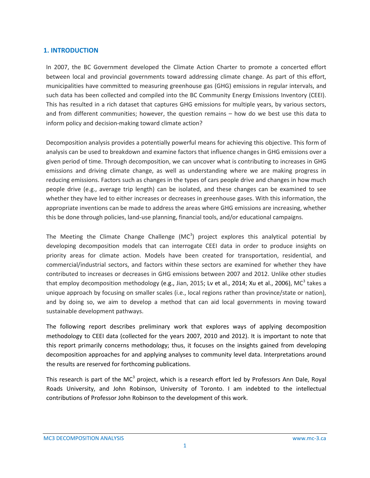#### <span id="page-3-0"></span>**1. INTRODUCTION**

In 2007, the BC Government developed the Climate Action Charter to promote a concerted effort between local and provincial governments toward addressing climate change. As part of this effort, municipalities have committed to measuring greenhouse gas (GHG) emissions in regular intervals, and such data has been collected and compiled into the BC Community Energy Emissions Inventory (CEEI). This has resulted in a rich dataset that captures GHG emissions for multiple years, by various sectors, and from different communities; however, the question remains – how do we best use this data to inform policy and decision-making toward climate action?

Decomposition analysis provides a potentially powerful means for achieving this objective. This form of analysis can be used to breakdown and examine factors that influence changes in GHG emissions over a given period of time. Through decomposition, we can uncover what is contributing to increases in GHG emissions and driving climate change, as well as understanding where we are making progress in reducing emissions. Factors such as changes in the types of cars people drive and changes in how much people drive (e.g., average trip length) can be isolated, and these changes can be examined to see whether they have led to either increases or decreases in greenhouse gases. With this information, the appropriate inventions can be made to address the areas where GHG emissions are increasing, whether this be done through policies, land-use planning, financial tools, and/or educational campaigns.

The Meeting the Climate Change Challenge  $(MC<sup>3</sup>)$  project explores this analytical potential by developing decomposition models that can interrogate CEEI data in order to produce insights on priority areas for climate action. Models have been created for transportation, residential, and commercial/industrial sectors, and factors within these sectors are examined for whether they have contributed to increases or decreases in GHG emissions between 2007 and 2012. Unlike other studies that employ decomposition methodology (e.g., Jian, 2015; Lv et al., 2014; Xu et al., 2006), MC<sup>3</sup> takes a unique approach by focusing on smaller scales (i.e., local regions rather than province/state or nation), and by doing so, we aim to develop a method that can aid local governments in moving toward sustainable development pathways.

The following report describes preliminary work that explores ways of applying decomposition methodology to CEEI data (collected for the years 2007, 2010 and 2012). It is important to note that this report primarily concerns methodology; thus, it focuses on the insights gained from developing decomposition approaches for and applying analyses to community level data. Interpretations around the results are reserved for forthcoming publications.

This research is part of the MC<sup>3</sup> project, which is a research effort led by Professors Ann Dale, Royal Roads University, and John Robinson, University of Toronto. I am indebted to the intellectual contributions of Professor John Robinson to the development of this work.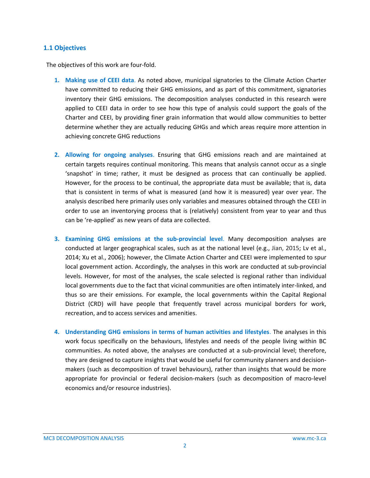#### <span id="page-4-0"></span>**1.1 Objectives**

The objectives of this work are four-fold.

- **1. Making use of CEEI data**. As noted above, municipal signatories to the Climate Action Charter have committed to reducing their GHG emissions, and as part of this commitment, signatories inventory their GHG emissions. The decomposition analyses conducted in this research were applied to CEEI data in order to see how this type of analysis could support the goals of the Charter and CEEI, by providing finer grain information that would allow communities to better determine whether they are actually reducing GHGs and which areas require more attention in achieving concrete GHG reductions
- **2. Allowing for ongoing analyses**. Ensuring that GHG emissions reach and are maintained at certain targets requires continual monitoring. This means that analysis cannot occur as a single 'snapshot' in time; rather, it must be designed as process that can continually be applied. However, for the process to be continual, the appropriate data must be available; that is, data that is consistent in terms of what is measured (and how it is measured) year over year. The analysis described here primarily uses only variables and measures obtained through the CEEI in order to use an inventorying process that is (relatively) consistent from year to year and thus can be 're-applied' as new years of data are collected.
- **3. Examining GHG emissions at the sub-provincial level**. Many decomposition analyses are conducted at larger geographical scales, such as at the national level (e.g., Jian, 2015; Lv et al., 2014; Xu et al., 2006); however, the Climate Action Charter and CEEI were implemented to spur local government action. Accordingly, the analyses in this work are conducted at sub-provincial levels. However, for most of the analyses, the scale selected is regional rather than individual local governments due to the fact that vicinal communities are often intimately inter-linked, and thus so are their emissions. For example, the local governments within the Capital Regional District (CRD) will have people that frequently travel across municipal borders for work, recreation, and to access services and amenities.
- **4. Understanding GHG emissions in terms of human activities and lifestyles**. The analyses in this work focus specifically on the behaviours, lifestyles and needs of the people living within BC communities. As noted above, the analyses are conducted at a sub-provincial level; therefore, they are designed to capture insights that would be useful for community planners and decisionmakers (such as decomposition of travel behaviours), rather than insights that would be more appropriate for provincial or federal decision-makers (such as decomposition of macro-level economics and/or resource industries).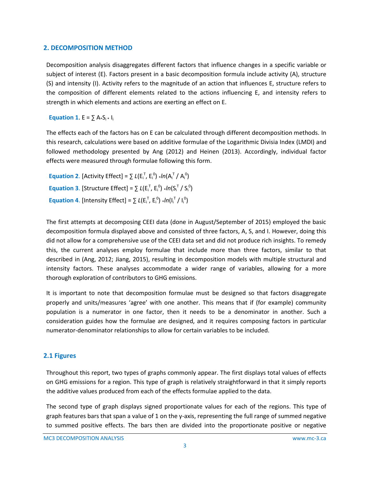### <span id="page-5-0"></span>**2. DECOMPOSITION METHOD**

Decomposition analysis disaggregates different factors that influence changes in a specific variable or subject of interest (E). Factors present in a basic decomposition formula include activity (A), structure (S) and intensity (I). Activity refers to the magnitude of an action that influences E, structure refers to the composition of different elements related to the actions influencing E, and intensity refers to strength in which elements and actions are exerting an effect on E.

**Equation 1.**  $E = \sum A_i S_i * I_i$ 

The effects each of the factors has on E can be calculated through different decomposition methods. In this research, calculations were based on additive formulae of the Logarithmic Divisia Index (LMDI) and followed methodology presented by Ang (2012) and Heinen (2013). Accordingly, individual factor effects were measured through formulae following this form.

**Equation 2.** [Activity Effect] =  $\sum L(E_i^T, E_i^0) * ln(A_i^T / A_i^0)$ **Equation 3.** [Structure Effect] =  $\sum L(E_i^T, E_i^0)$  \* $ln(S_i^T / S_i^0)$ **Equation 4.** [Intensity Effect] =  $\sum L(E_i^T, E_i^0)$  \*/n(l<sub>i</sub><sup>T</sup>/l<sub>i</sub><sup>0</sup>)

The first attempts at decomposing CEEI data (done in August/September of 2015) employed the basic decomposition formula displayed above and consisted of three factors, A, S, and I. However, doing this did not allow for a comprehensive use of the CEEI data set and did not produce rich insights. To remedy this, the current analyses employ formulae that include more than three factors, similar to that described in (Ang, 2012; Jiang, 2015), resulting in decomposition models with multiple structural and intensity factors. These analyses accommodate a wider range of variables, allowing for a more thorough exploration of contributors to GHG emissions.

It is important to note that decomposition formulae must be designed so that factors disaggregate properly and units/measures 'agree' with one another. This means that if (for example) community population is a numerator in one factor, then it needs to be a denominator in another. Such a consideration guides how the formulae are designed, and it requires composing factors in particular numerator-denominator relationships to allow for certain variables to be included.

### <span id="page-5-1"></span>**2.1 Figures**

Throughout this report, two types of graphs commonly appear. The first displays total values of effects on GHG emissions for a region. This type of graph is relatively straightforward in that it simply reports the additive values produced from each of the effects formulae applied to the data.

The second type of graph displays signed proportionate values for each of the regions. This type of graph features bars that span a value of 1 on the y-axis, representing the full range of summed negative to summed positive effects. The bars then are divided into the proportionate positive or negative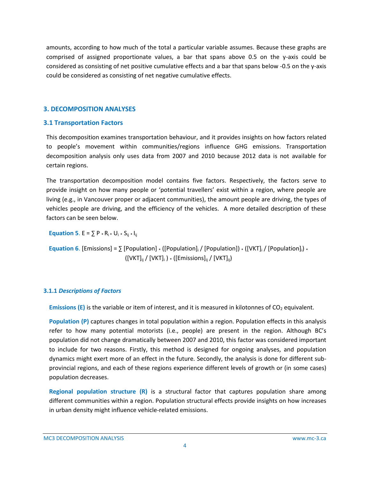amounts, according to how much of the total a particular variable assumes. Because these graphs are comprised of assigned proportionate values, a bar that spans above 0.5 on the y-axis could be considered as consisting of net positive cumulative effects and a bar that spans below -0.5 on the y-axis could be considered as consisting of net negative cumulative effects.

#### <span id="page-6-0"></span>**3. DECOMPOSITION ANALYSES**

#### <span id="page-6-1"></span>**3.1 Transportation Factors**

This decomposition examines transportation behaviour, and it provides insights on how factors related to people's movement within communities/regions influence GHG emissions. Transportation decomposition analysis only uses data from 2007 and 2010 because 2012 data is not available for certain regions.

The transportation decomposition model contains five factors. Respectively, the factors serve to provide insight on how many people or 'potential travellers' exist within a region, where people are living (e.g., in Vancouver proper or adjacent communities), the amount people are driving, the types of vehicles people are driving, and the efficiency of the vehicles. A more detailed description of these factors can be seen below.

**Equation 5**.  $E = \sum P * R_i * U_i * S_{ii} * I_{ii}$ 

**Equation 6**. [Emissions] =  $\sum$  [Population] \* ([Population]<sub>i</sub> / [Population]]) \* ([VKT]<sub>i</sub> / [Population]<sub>i</sub>) \*  $([VKT]_{ij} / [VKT]_{i}$ )  $*$  ([Emissions]<sub>ij</sub> / [VKT]<sub>ij</sub>)

### <span id="page-6-2"></span>**3.1.1** *Descriptions of Factors*

**Emissions**  $(E)$  **is the variable or item of interest, and it is measured in kilotonnes of**  $CO<sub>2</sub>$  **equivalent.** 

**Population (P)** captures changes in total population within a region. Population effects in this analysis refer to how many potential motorists (i.e., people) are present in the region. Although BC's population did not change dramatically between 2007 and 2010, this factor was considered important to include for two reasons. Firstly, this method is designed for ongoing analyses, and population dynamics might exert more of an effect in the future. Secondly, the analysis is done for different subprovincial regions, and each of these regions experience different levels of growth or (in some cases) population decreases.

**Regional population structure (R)** is a structural factor that captures population share among different communities within a region. Population structural effects provide insights on how increases in urban density might influence vehicle-related emissions.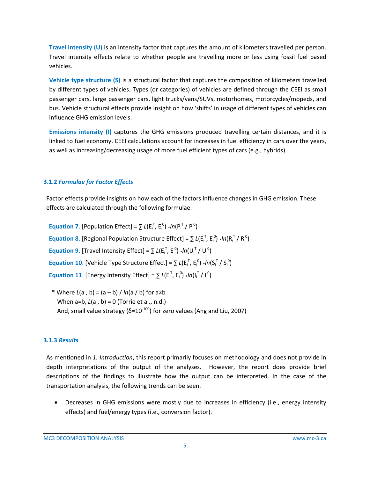**Travel intensity (U)** is an intensity factor that captures the amount of kilometers travelled per person. Travel intensity effects relate to whether people are travelling more or less using fossil fuel based vehicles.

**Vehicle type structure (S)** is a structural factor that captures the composition of kilometers travelled by different types of vehicles. Types (or categories) of vehicles are defined through the CEEI as small passenger cars, large passenger cars, light trucks/vans/SUVs, motorhomes, motorcycles/mopeds, and bus. Vehicle structural effects provide insight on how 'shifts' in usage of different types of vehicles can influence GHG emission levels.

**Emissions intensity (I)** captures the GHG emissions produced travelling certain distances, and it is linked to fuel economy. CEEI calculations account for increases in fuel efficiency in cars over the years, as well as increasing/decreasing usage of more fuel efficient types of cars (e.g., hybrids).

### <span id="page-7-0"></span>**3.1.2** *Formulae for Factor Effects*

Factor effects provide insights on how each of the factors influence changes in GHG emission. These effects are calculated through the following formulae.

**Equation 7.** [Population Effect] =  $\sum L(E_i^T, E_i^0)$  \* $ln(P_i^T / P_i^0)$ **Equation 8.** [Regional Population Structure Effect] =  $\sum L(E_i^T, E_i^0)$  \* $ln(R_i^T/R_i^0)$ **Equation 9.** [Travel Intensity Effect] =  $\sum L(E_i^T, E_i^0)$  \*/n(U<sub>i</sub><sup>T</sup>/U<sub>i</sub><sup>0</sup>) **Equation 10**. [Vehicle Type Structure Effect] =  $\sum L(E_i^T, E_i^0)$  \*/n(S<sub>i</sub><sup>T</sup>/S<sub>i</sub><sup>0</sup>) **Equation 11**. [Energy Intensity Effect] =  $\sum L(E_i^T, E_i^0)$  \*/n(l<sub>i</sub><sup>T</sup>/l<sub>i</sub><sup>0</sup>)

\* Where *L*(a , b) = (a – b) / *ln*(a / b) for a≠b When a=b, *L*(a , b) = 0 (Torrie et al., n.d.) And, small value strategy ( $\delta = 10^{-100}$ ) for zero values (Ang and Liu, 2007)

# <span id="page-7-1"></span>**3.1.3** *Results*

As mentioned in *1. Introduction*, this report primarily focuses on methodology and does not provide in depth interpretations of the output of the analyses. However, the report does provide brief descriptions of the findings to illustrate how the output can be interpreted. In the case of the transportation analysis, the following trends can be seen.

 Decreases in GHG emissions were mostly due to increases in efficiency (i.e., energy intensity effects) and fuel/energy types (i.e., conversion factor).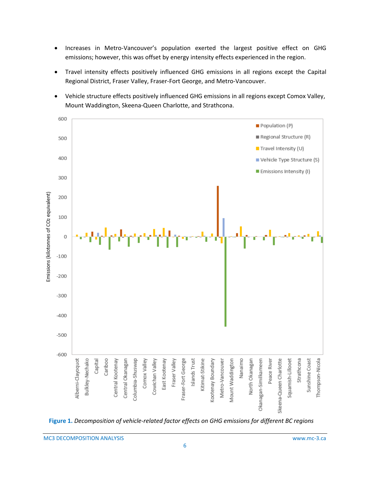- Increases in Metro-Vancouver's population exerted the largest positive effect on GHG emissions; however, this was offset by energy intensity effects experienced in the region.
- Travel intensity effects positively influenced GHG emissions in all regions except the Capital Regional District, Fraser Valley, Fraser-Fort George, and Metro-Vancouver.
- Vehicle structure effects positively influenced GHG emissions in all regions except Comox Valley, Mount Waddington, Skeena-Queen Charlotte, and Strathcona.



<span id="page-8-0"></span>**Figure 1.** *Decomposition of vehicle-related factor effects on GHG emissions for different BC regions*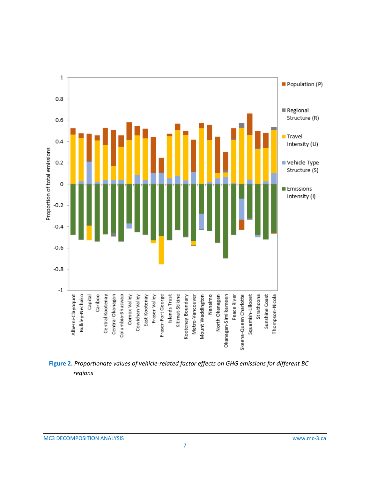

<span id="page-9-0"></span>**Figure 2.** *Proportionate values of vehicle-related factor effects on GHG emissions for different BC regions*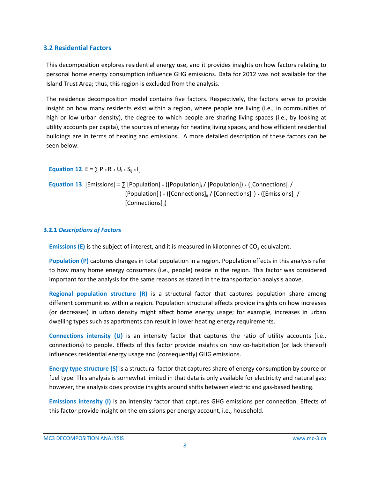## <span id="page-10-0"></span>**3.2 Residential Factors**

This decomposition explores residential energy use, and it provides insights on how factors relating to personal home energy consumption influence GHG emissions. Data for 2012 was not available for the Island Trust Area; thus, this region is excluded from the analysis.

The residence decomposition model contains five factors. Respectively, the factors serve to provide insight on how many residents exist within a region, where people are living (i.e., in communities of high or low urban density), the degree to which people are sharing living spaces (i.e., by looking at utility accounts per capita), the sources of energy for heating living spaces, and how efficient residential buildings are in terms of heating and emissions. A more detailed description of these factors can be seen below.

**Equation 12.** E =  $\Sigma$  P  $*$  R<sub>i</sub> $*$  U<sub>i</sub> $*$  S<sub>ij</sub> $*$  I<sub>ij</sub>

```
Equation 13. [Emissions] = \sum [Population] \cdot ([Population]<sub>i</sub> / [Population]) \cdot ([Connections]<sub>i</sub> /
                                [Population]<sub>i</sub>) * ([Connections]<sub>ii</sub> / [Connections]<sub>i</sub> ) * ([Emissions]<sub>ii</sub> /
                                [Connections]<sub>ii</sub>)
```
### <span id="page-10-1"></span>**3.2.1** *Descriptions of Factors*

**Emissions (E)** is the subject of interest, and it is measured in kilotonnes of CO<sub>2</sub> equivalent.

**Population (P)** captures changes in total population in a region. Population effects in this analysis refer to how many home energy consumers (i.e., people) reside in the region. This factor was considered important for the analysis for the same reasons as stated in the transportation analysis above.

**Regional population structure (R)** is a structural factor that captures population share among different communities within a region. Population structural effects provide insights on how increases (or decreases) in urban density might affect home energy usage; for example, increases in urban dwelling types such as apartments can result in lower heating energy requirements.

**Connections intensity (U)** is an intensity factor that captures the ratio of utility accounts (i.e., connections) to people. Effects of this factor provide insights on how co-habitation (or lack thereof) influences residential energy usage and (consequently) GHG emissions.

**Energy type structure (S)** is a structural factor that captures share of energy consumption by source or fuel type. This analysis is somewhat limited in that data is only available for electricity and natural gas; however, the analysis does provide insights around shifts between electric and gas-based heating.

**Emissions intensity (I)** is an intensity factor that captures GHG emissions per connection. Effects of this factor provide insight on the emissions per energy account, i.e., household.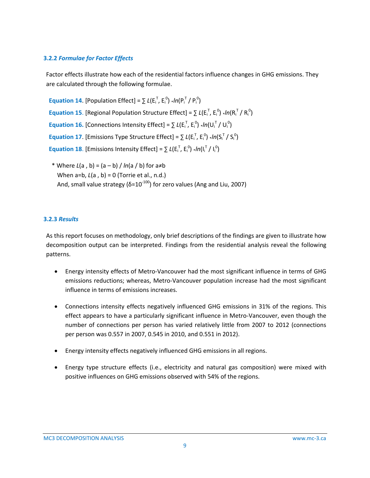# <span id="page-11-0"></span>**3.2.2** *Formulae for Factor Effects*

Factor effects illustrate how each of the residential factors influence changes in GHG emissions. They are calculated through the following formulae.

**Equation 14.** [Population Effect] =  $\sum L(E_i^T, E_i^0)$  \* $ln(P_i^T / P_i^0)$ **Equation 15.** [Regional Population Structure Effect] =  $\sum L(E_i^T, E_i^0) * ln(R_i^T/R_i^0)$ **Equation 16. [Connections Intensity Effect] =**  $\sum L(E_i^T, E_i^0) * ln(U_i^T / U_i^0)$ **Equation 17.** [Emissions Type Structure Effect] =  $\sum L(E_i^T, E_i^0)$  \*/n(S<sub>i</sub><sup>T</sup>/S<sub>i</sub><sup>0</sup>) **Equation 18.** [Emissions Intensity Effect] =  $\sum L(E_i^T, E_i^0) * In(I_i^T / I_i^0)$ 

\* Where *L*(a , b) = (a – b) / *ln*(a / b) for a≠b When a=b, *L*(a , b) = 0 (Torrie et al., n.d.) And, small value strategy ( $\delta = 10^{-100}$ ) for zero values (Ang and Liu, 2007)

### <span id="page-11-1"></span>**3.2.3** *Results*

As this report focuses on methodology, only brief descriptions of the findings are given to illustrate how decomposition output can be interpreted. Findings from the residential analysis reveal the following patterns.

- Energy intensity effects of Metro-Vancouver had the most significant influence in terms of GHG emissions reductions; whereas, Metro-Vancouver population increase had the most significant influence in terms of emissions increases.
- Connections intensity effects negatively influenced GHG emissions in 31% of the regions. This effect appears to have a particularly significant influence in Metro-Vancouver, even though the number of connections per person has varied relatively little from 2007 to 2012 (connections per person was 0.557 in 2007, 0.545 in 2010, and 0.551 in 2012).
- Energy intensity effects negatively influenced GHG emissions in all regions.
- Energy type structure effects (i.e., electricity and natural gas composition) were mixed with positive influences on GHG emissions observed with 54% of the regions.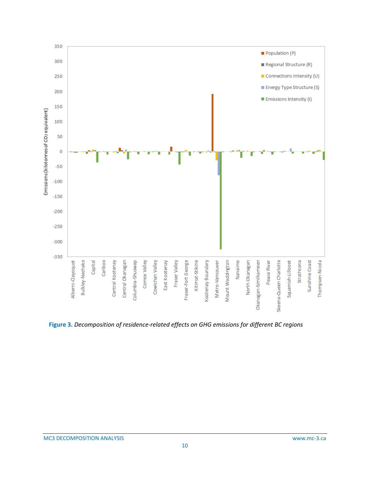

<span id="page-12-0"></span>**Figure 3.** *Decomposition of residence-related effects on GHG emissions for different BC regions*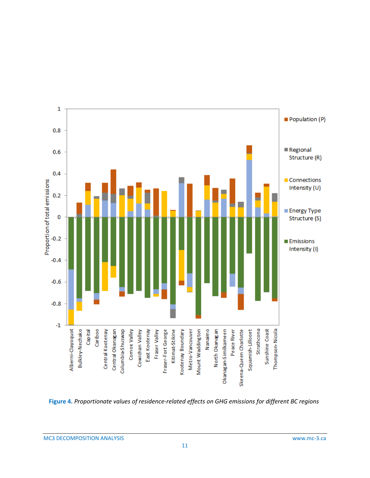

<span id="page-13-0"></span>**Figure 4.** *Proportionate values of residence-related effects on GHG emissions for different BC regions*

MC3 DECOMPOSITION ANALYSIS www.mc-3.ca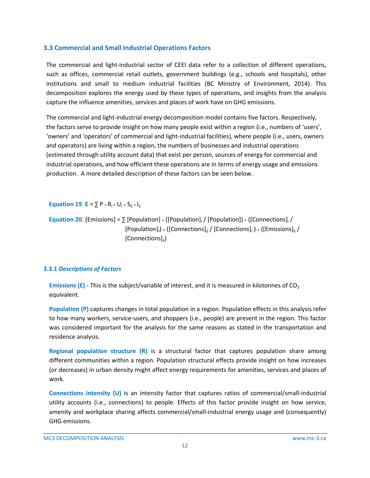# <span id="page-14-0"></span>**3.3 Commercial and Small Industrial Operations Factors**

The commercial and light-industrial sector of CEEI data refer to a collection of different operations, such as offices, commercial retail outlets, government buildings (e.g., schools and hospitals), other institutions and small to medium industrial facilities (BC Ministry of Environment, 2014). This decomposition explores the energy used by these types of operations, and insights from the analysis capture the influence amenities, services and places of work have on GHG emissions.

The commercial and light-industrial energy decomposition model contains five factors. Respectively, the factors serve to provide insight on how many people exist within a region (i.e., numbers of 'users', 'owners' and 'operators' of commercial and light-industrial facilities), where people (i.e., users, owners and operators) are living within a region, the numbers of businesses and industrial operations (estimated through utility account data) that exist per person, sources of energy for commercial and industrial operations, and how efficient these operations are in terms of energy usage and emissions production. A more detailed description of these factors can be seen below.

**Equation 19.** E =  $\Sigma$  P  $*$  R<sub>i</sub> $*$  U<sub>i</sub> $*$  S<sub>ii</sub> $*$  I<sub>ii</sub>

**Equation 20.** [Emissions] =  $\sum$  [Population]  $\cdot$  ([Population] $\cdot$  ([Connections] $\cdot$  / [Population];) \* ([Connections]<sub>ii</sub> / [Connections]; ) \* ([Emissions]<sub>ii</sub> / [Connections]<sub>ii</sub>)

### <span id="page-14-1"></span>**3.3.1** *Descriptions of Factors*

**Emissions**  $(E)$  **- This is the subject/variable of interest, and it is measured in kilotonnes of**  $CO<sub>2</sub>$ equivalent.

**Population (P)** captures changes in total population in a region. Population effects in this analysis refer to how many workers, service-users, and shoppers (i.e., people) are present in the region. This factor was considered important for the analysis for the same reasons as stated in the transportation and residence analysis.

**Regional population structure (R)** is a structural factor that captures population share among different communities within a region. Population structural effects provide insight on how increases (or decreases) in urban density might affect energy requirements for amenities, services and places of work.

**Connections intensity (U)** is an intensity factor that captures ratios of commercial/small-industrial utility accounts (i.e., connections) to people. Effects of this factor provide insight on how service, amenity and workplace sharing affects commercial/small-industrial energy usage and (consequently) GHG emissions.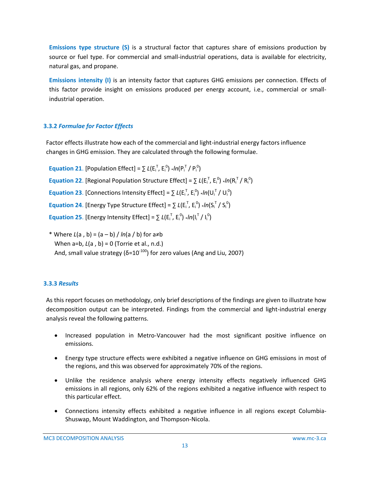**Emissions type structure (S)** is a structural factor that captures share of emissions production by source or fuel type. For commercial and small-industrial operations, data is available for electricity, natural gas, and propane.

**Emissions intensity (I)** is an intensity factor that captures GHG emissions per connection. Effects of this factor provide insight on emissions produced per energy account, i.e., commercial or smallindustrial operation.

# <span id="page-15-0"></span>**3.3.2** *Formulae for Factor Effects*

Factor effects illustrate how each of the commercial and light-industrial energy factors influence changes in GHG emission. They are calculated through the following formulae.

- **Equation 21.** [Population Effect] =  $\sum L(E_i^T, E_i^0)$  \*/n(P<sub>i</sub><sup>T</sup>/P<sub>i</sub><sup>0</sup>) **Equation 22**. [Regional Population Structure Effect] =  $\sum L(E_i^T, E_i^0)$  \*/n(R<sub>i</sub><sup>T</sup>/R<sub>i</sub><sup>0</sup>) **Equation 23.** [Connections Intensity Effect] =  $\sum L(E_i^T, E_i^0)$  \*/n(U<sub>i</sub><sup>T</sup>/U<sub>i</sub><sup>0</sup>) **Equation 24.** [Energy Type Structure Effect] =  $\sum L(E_i^T, E_i^0)$  \*/n(S<sub>i</sub><sup>T</sup>/S<sub>i</sub><sup>0</sup>) **Equation 25.** [Energy Intensity Effect] =  $\sum L(E_i^T, E_i^0)$  \*/n(l<sub>i</sub><sup>T</sup>/l<sub>i</sub><sup>0</sup>)
- \* Where *L*(a , b) = (a b) / *ln*(a / b) for a≠b When a=b, *L*(a , b) = 0 (Torrie et al., n.d.) And, small value strategy ( $\delta = 10^{-100}$ ) for zero values (Ang and Liu, 2007)

# <span id="page-15-1"></span>**3.3.3** *Results*

As this report focuses on methodology, only brief descriptions of the findings are given to illustrate how decomposition output can be interpreted. Findings from the commercial and light-industrial energy analysis reveal the following patterns.

- Increased population in Metro-Vancouver had the most significant positive influence on emissions.
- Energy type structure effects were exhibited a negative influence on GHG emissions in most of the regions, and this was observed for approximately 70% of the regions.
- Unlike the residence analysis where energy intensity effects negatively influenced GHG emissions in all regions, only 62% of the regions exhibited a negative influence with respect to this particular effect.
- Connections intensity effects exhibited a negative influence in all regions except Columbia-Shuswap, Mount Waddington, and Thompson-Nicola.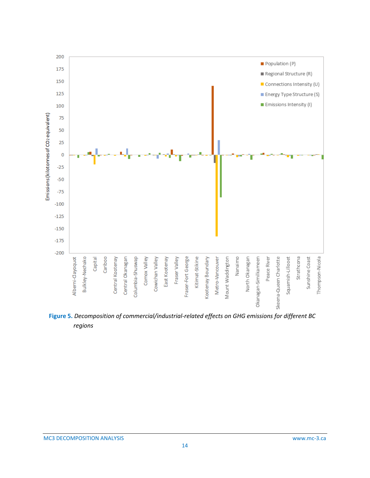

<span id="page-16-0"></span>**Figure 5.** *Decomposition of commercial/industrial-related effects on GHG emissions for different BC regions*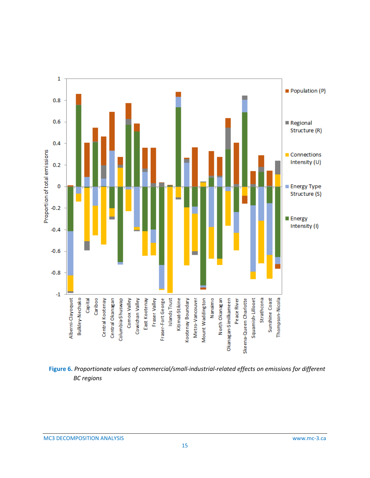

<span id="page-17-0"></span>**Figure 6.** *Proportionate values of commercial/small-industrial-related effects on emissions for different BC regions*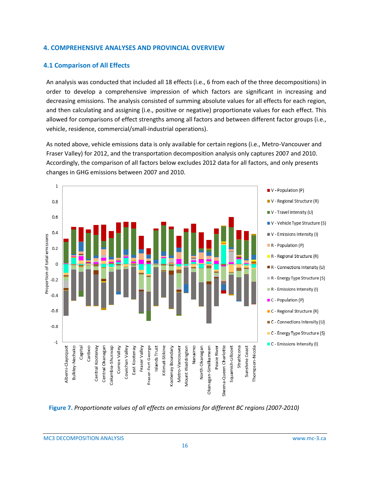#### <span id="page-18-0"></span>**4. COMPREHENSIVE ANALYSES AND PROVINCIAL OVERVIEW**

### <span id="page-18-1"></span>**4.1 Comparison of All Effects**

An analysis was conducted that included all 18 effects (i.e., 6 from each of the three decompositions) in order to develop a comprehensive impression of which factors are significant in increasing and decreasing emissions. The analysis consisted of summing absolute values for all effects for each region, and then calculating and assigning (i.e., positive or negative) proportionate values for each effect. This allowed for comparisons of effect strengths among all factors and between different factor groups (i.e., vehicle, residence, commercial/small-industrial operations).

As noted above, vehicle emissions data is only available for certain regions (i.e., Metro-Vancouver and Fraser Valley) for 2012, and the transportation decomposition analysis only captures 2007 and 2010. Accordingly, the comparison of all factors below excludes 2012 data for all factors, and only presents changes in GHG emissions between 2007 and 2010.



<span id="page-18-2"></span>**Figure 7.** *Proportionate values of all effects on emissions for different BC regions (2007-2010)*

MC3 DECOMPOSITION ANALYSIS www.mc-3.ca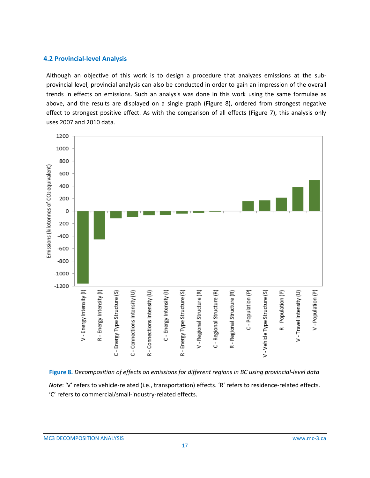#### <span id="page-19-0"></span>**4.2 Provincial-level Analysis**

Although an objective of this work is to design a procedure that analyzes emissions at the subprovincial level, provincial analysis can also be conducted in order to gain an impression of the overall trends in effects on emissions. Such an analysis was done in this work using the same formulae as above, and the results are displayed on a single graph (Figure 8), ordered from strongest negative effect to strongest positive effect. As with the comparison of all effects (Figure 7), this analysis only uses 2007 and 2010 data.



<span id="page-19-1"></span>**Figure 8.** *Decomposition of effects on emissions for different regions in BC using provincial-level data Note*: 'V' refers to vehicle-related (i.e., transportation) effects. 'R' refers to residence-related effects. 'C' refers to commercial/small-industry-related effects.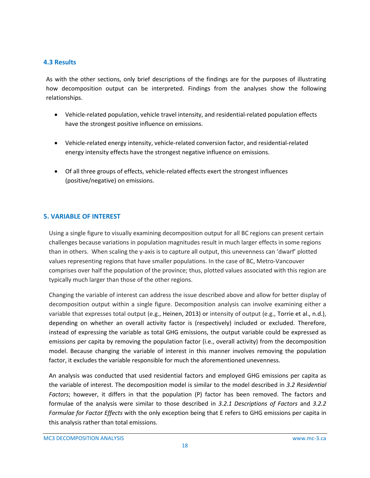## <span id="page-20-0"></span>**4.3 Results**

As with the other sections, only brief descriptions of the findings are for the purposes of illustrating how decomposition output can be interpreted. Findings from the analyses show the following relationships.

- Vehicle-related population, vehicle travel intensity, and residential-related population effects have the strongest positive influence on emissions.
- Vehicle-related energy intensity, vehicle-related conversion factor, and residential-related energy intensity effects have the strongest negative influence on emissions.
- Of all three groups of effects, vehicle-related effects exert the strongest influences (positive/negative) on emissions.

### <span id="page-20-1"></span>**5. VARIABLE OF INTEREST**

Using a single figure to visually examining decomposition output for all BC regions can present certain challenges because variations in population magnitudes result in much larger effects in some regions than in others. When scaling the y-axis is to capture all output, this unevenness can 'dwarf' plotted values representing regions that have smaller populations. In the case of BC, Metro-Vancouver comprises over half the population of the province; thus, plotted values associated with this region are typically much larger than those of the other regions.

Changing the variable of interest can address the issue described above and allow for better display of decomposition output within a single figure. Decomposition analysis can involve examining either a variable that expresses total output (e.g., Heinen, 2013) or intensity of output (e.g., Torrie et al., n.d.), depending on whether an overall activity factor is (respectively) included or excluded. Therefore, instead of expressing the variable as total GHG emissions, the output variable could be expressed as emissions per capita by removing the population factor (i.e., overall activity) from the decomposition model. Because changing the variable of interest in this manner involves removing the population factor, it excludes the variable responsible for much the aforementioned unevenness.

An analysis was conducted that used residential factors and employed GHG emissions per capita as the variable of interest. The decomposition model is similar to the model described in *3.2 Residential Factors*; however, it differs in that the population (P) factor has been removed. The factors and formulae of the analysis were similar to those described in *3.2.1 Descriptions of Factors* and *3.2.2 Formulae for Factor Effects* with the only exception being that E refers to GHG emissions per capita in this analysis rather than total emissions.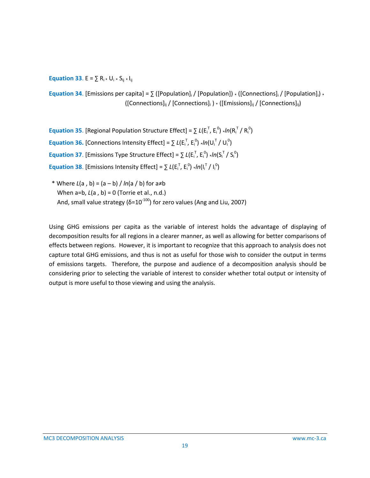**Equation 33.** E =  $\sum R_i * U_i * S_{ii} * I_{ii}$ 

**Equation 34**. [Emissions per capita] =  $\sum$  ([Population]<sub>i</sub> / [Population]) \* ([Connections]<sub>i</sub> / [Population]<sub>i</sub>) \*  $([Connections]_{ii} / [Connections]_{i}) * ([Emissions]_{ii} / [Connections]_{ii})$ 

**Equation 35**. [Regional Population Structure Effect] =  $\sum L(E_i^T, E_i^0)$  \*/n( $R_i^T / R_i^0$ ) **Equation 36.** [Connections Intensity Effect] =  $\sum L(E_i^T, E_i^0)$  \*/n(U<sub>i</sub><sup>T</sup>/U<sub>i</sub><sup>0</sup>) **Equation 37**. [Emissions Type Structure Effect] =  $\sum L(E_i^T, E_i^0)$  \*/n(S<sub>i</sub><sup>T</sup>/S<sub>i</sub><sup>0</sup>) **Equation 38.** [Emissions Intensity Effect] =  $\sum L(E_i^T, E_i^0) * In(I_i^T / I_i^0)$ 

\* Where *L*(a , b) = (a – b) / *ln*(a / b) for a≠b When a=b, *L*(a , b) = 0 (Torrie et al., n.d.) And, small value strategy ( $\delta = 10^{-100}$ ) for zero values (Ang and Liu, 2007)

Using GHG emissions per capita as the variable of interest holds the advantage of displaying of decomposition results for all regions in a clearer manner, as well as allowing for better comparisons of effects between regions. However, it is important to recognize that this approach to analysis does not capture total GHG emissions, and thus is not as useful for those wish to consider the output in terms of emissions targets. Therefore, the purpose and audience of a decomposition analysis should be considering prior to selecting the variable of interest to consider whether total output or intensity of output is more useful to those viewing and using the analysis.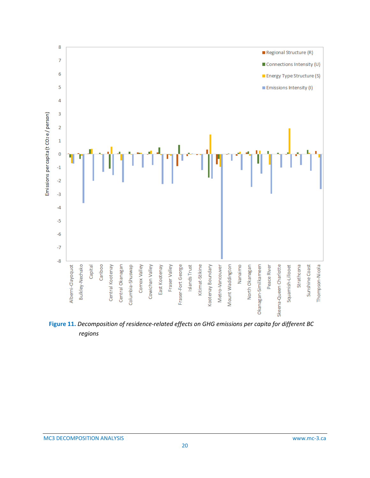

<span id="page-22-0"></span>**Figure 11.** *Decomposition of residence-related effects on GHG emissions per capita for different BC regions*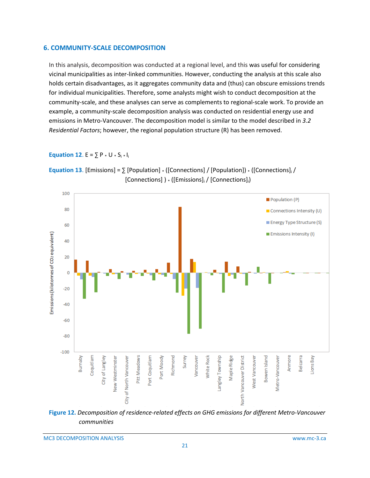#### <span id="page-23-0"></span>**6. COMMUNITY-SCALE DECOMPOSITION**

In this analysis, decomposition was conducted at a regional level, and this was useful for considering vicinal municipalities as inter-linked communities. However, conducting the analysis at this scale also holds certain disadvantages, as it aggregates community data and (thus) can obscure emissions trends for individual municipalities. Therefore, some analysts might wish to conduct decomposition at the community-scale, and these analyses can serve as complements to regional-scale work. To provide an example, a community-scale decomposition analysis was conducted on residential energy use and emissions in Metro-Vancouver. The decomposition model is similar to the model described in *3.2 Residential Factors*; however, the regional population structure (R) has been removed.

#### **Equation 12.** E =  $\sum P * U * S_i * I_i$





<span id="page-23-1"></span>

MC3 DECOMPOSITION ANALYSIS www.mc-3.ca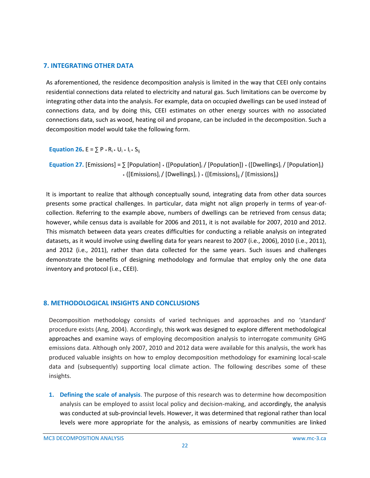#### <span id="page-24-0"></span>**7. INTEGRATING OTHER DATA**

As aforementioned, the residence decomposition analysis is limited in the way that CEEI only contains residential connections data related to electricity and natural gas. Such limitations can be overcome by integrating other data into the analysis. For example, data on occupied dwellings can be used instead of connections data, and by doing this, CEEI estimates on other energy sources with no associated connections data, such as wood, heating oil and propane, can be included in the decomposition. Such a decomposition model would take the following form.

**Equation 26.**  $E = \sum P * R_i * U_i * I_i * S_{ii}$ 

**Equation 27.** [Emissions] =  $\sum$  [Population]  $\cdot$  ([Population]<sub>i</sub> / [Population])  $\cdot$  ([Dwellings]<sub>i</sub> / [Population]<sub>i</sub>)  $*$  ([Emissions]<sub>i</sub> / [Dwellings]<sub>i</sub> )  $*$  ([Emissions]<sub>ij</sub> / [Emissions]<sub>i</sub>)

It is important to realize that although conceptually sound, integrating data from other data sources presents some practical challenges. In particular, data might not align properly in terms of year-ofcollection. Referring to the example above, numbers of dwellings can be retrieved from census data; however, while census data is available for 2006 and 2011, it is not available for 2007, 2010 and 2012. This mismatch between data years creates difficulties for conducting a reliable analysis on integrated datasets, as it would involve using dwelling data for years nearest to 2007 (i.e., 2006), 2010 (i.e., 2011), and 2012 (i.e., 2011), rather than data collected for the same years. Such issues and challenges demonstrate the benefits of designing methodology and formulae that employ only the one data inventory and protocol (i.e., CEEI).

### <span id="page-24-1"></span>**8. METHODOLOGICAL INSIGHTS AND CONCLUSIONS**

Decomposition methodology consists of varied techniques and approaches and no 'standard' procedure exists (Ang, 2004). Accordingly, this work was designed to explore different methodological approaches and examine ways of employing decomposition analysis to interrogate community GHG emissions data. Although only 2007, 2010 and 2012 data were available for this analysis, the work has produced valuable insights on how to employ decomposition methodology for examining local-scale data and (subsequently) supporting local climate action. The following describes some of these insights.

**1. Defining the scale of analysis**. The purpose of this research was to determine how decomposition analysis can be employed to assist local policy and decision-making, and accordingly, the analysis was conducted at sub-provincial levels. However, it was determined that regional rather than local levels were more appropriate for the analysis, as emissions of nearby communities are linked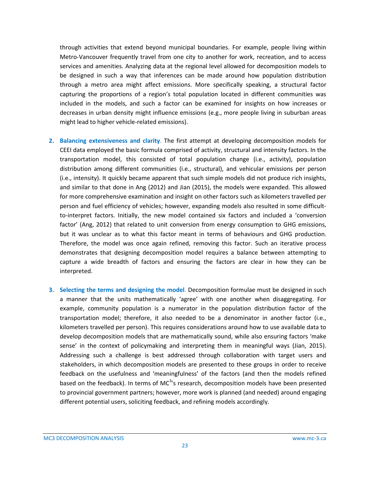through activities that extend beyond municipal boundaries. For example, people living within Metro-Vancouver frequently travel from one city to another for work, recreation, and to access services and amenities. Analyzing data at the regional level allowed for decomposition models to be designed in such a way that inferences can be made around how population distribution through a metro area might affect emissions. More specifically speaking, a structural factor capturing the proportions of a region's total population located in different communities was included in the models, and such a factor can be examined for insights on how increases or decreases in urban density might influence emissions (e.g., more people living in suburban areas might lead to higher vehicle-related emissions).

- **2. Balancing extensiveness and clarity**. The first attempt at developing decomposition models for CEEI data employed the basic formula comprised of activity, structural and intensity factors. In the transportation model, this consisted of total population change (i.e., activity), population distribution among different communities (i.e., structural), and vehicular emissions per person (i.e., intensity). It quickly became apparent that such simple models did not produce rich insights, and similar to that done in Ang (2012) and Jian (2015), the models were expanded. This allowed for more comprehensive examination and insight on other factors such as kilometers travelled per person and fuel efficiency of vehicles; however, expanding models also resulted in some difficultto-interpret factors. Initially, the new model contained six factors and included a 'conversion factor' (Ang, 2012) that related to unit conversion from energy consumption to GHG emissions, but it was unclear as to what this factor meant in terms of behaviours and GHG production. Therefore, the model was once again refined, removing this factor. Such an iterative process demonstrates that designing decomposition model requires a balance between attempting to capture a wide breadth of factors and ensuring the factors are clear in how they can be interpreted.
- **3. Selecting the terms and designing the model**. Decomposition formulae must be designed in such a manner that the units mathematically 'agree' with one another when disaggregating. For example, community population is a numerator in the population distribution factor of the transportation model; therefore, it also needed to be a denominator in another factor (i.e., kilometers travelled per person). This requires considerations around how to use available data to develop decomposition models that are mathematically sound, while also ensuring factors 'make sense' in the context of policymaking and interpreting them in meaningful ways (Jian, 2015). Addressing such a challenge is best addressed through collaboration with target users and stakeholders, in which decomposition models are presented to these groups in order to receive feedback on the usefulness and 'meaningfulness' of the factors (and then the models refined based on the feedback). In terms of MC<sup>3</sup>'s research, decomposition models have been presented to provincial government partners; however, more work is planned (and needed) around engaging different potential users, soliciting feedback, and refining models accordingly.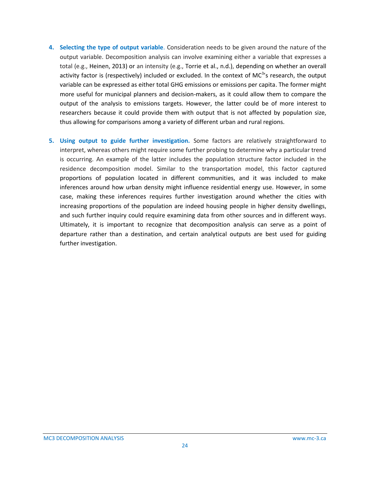- **4. Selecting the type of output variable**. Consideration needs to be given around the nature of the output variable. Decomposition analysis can involve examining either a variable that expresses a total (e.g., Heinen, 2013) or an intensity (e.g., Torrie et al., n.d.), depending on whether an overall activity factor is (respectively) included or excluded. In the context of MC<sup>3</sup>'s research, the output variable can be expressed as either total GHG emissions or emissions per capita. The former might more useful for municipal planners and decision-makers, as it could allow them to compare the output of the analysis to emissions targets. However, the latter could be of more interest to researchers because it could provide them with output that is not affected by population size, thus allowing for comparisons among a variety of different urban and rural regions.
- **5. Using output to guide further investigation.** Some factors are relatively straightforward to interpret, whereas others might require some further probing to determine why a particular trend is occurring. An example of the latter includes the population structure factor included in the residence decomposition model. Similar to the transportation model, this factor captured proportions of population located in different communities, and it was included to make inferences around how urban density might influence residential energy use. However, in some case, making these inferences requires further investigation around whether the cities with increasing proportions of the population are indeed housing people in higher density dwellings, and such further inquiry could require examining data from other sources and in different ways. Ultimately, it is important to recognize that decomposition analysis can serve as a point of departure rather than a destination, and certain analytical outputs are best used for guiding further investigation.